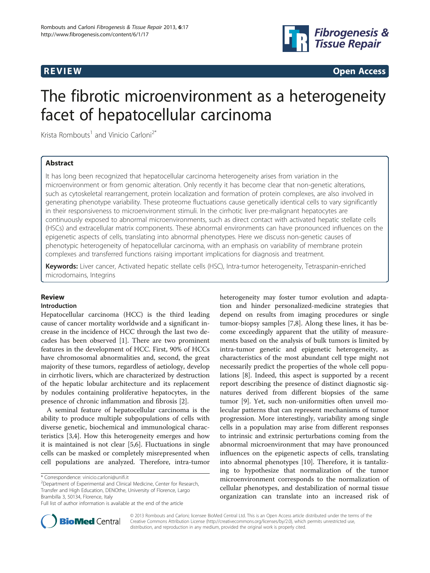

 $\mathbf{P}_\text{R}$  . The contract of the contract of the contract of the contract of the contract of the contract of the contract of the contract of the contract of the contract of the contract of the contract of the contract

# The fibrotic microenvironment as a heterogeneity facet of hepatocellular carcinoma

Krista Rombouts<sup>1</sup> and Vinicio Carloni<sup>2\*</sup>

# **Abstract**

It has long been recognized that hepatocellular carcinoma heterogeneity arises from variation in the microenvironment or from genomic alteration. Only recently it has become clear that non-genetic alterations, such as cytoskeletal rearrangement, protein localization and formation of protein complexes, are also involved in generating phenotype variability. These proteome fluctuations cause genetically identical cells to vary significantly in their responsiveness to microenvironment stimuli. In the cirrhotic liver pre-malignant hepatocytes are continuously exposed to abnormal microenvironments, such as direct contact with activated hepatic stellate cells (HSCs) and extracellular matrix components. These abnormal environments can have pronounced influences on the epigenetic aspects of cells, translating into abnormal phenotypes. Here we discuss non-genetic causes of phenotypic heterogeneity of hepatocellular carcinoma, with an emphasis on variability of membrane protein complexes and transferred functions raising important implications for diagnosis and treatment.

Keywords: Liver cancer, Activated hepatic stellate cells (HSC), Intra-tumor heterogeneity, Tetraspanin-enriched microdomains, Integrins

# Introduction

Hepatocellular carcinoma (HCC) is the third leading cause of cancer mortality worldwide and a significant increase in the incidence of HCC through the last two decades has been observed [\[1](#page-4-0)]. There are two prominent features in the development of HCC. First, 90% of HCCs have chromosomal abnormalities and, second, the great majority of these tumors, regardless of aetiology, develop in cirrhotic livers, which are characterized by destruction of the hepatic lobular architecture and its replacement by nodules containing proliferative hepatocytes, in the presence of chronic inflammation and fibrosis [\[2](#page-4-0)].

A seminal feature of hepatocellular carcinoma is the ability to produce multiple subpopulations of cells with diverse genetic, biochemical and immunological characteristics [\[3,4](#page-4-0)]. How this heterogeneity emerges and how it is maintained is not clear [\[5,6](#page-4-0)]. Fluctuations in single cells can be masked or completely misrepresented when cell populations are analyzed. Therefore, intra-tumor

heterogeneity may foster tumor evolution and adaptation and hinder personalized-medicine strategies that depend on results from imaging procedures or single tumor-biopsy samples [[7,8\]](#page-4-0). Along these lines, it has become exceedingly apparent that the utility of measurements based on the analysis of bulk tumors is limited by intra-tumor genetic and epigenetic heterogeneity, as characteristics of the most abundant cell type might not necessarily predict the properties of the whole cell populations [[8\]](#page-4-0). Indeed, this aspect is supported by a recent report describing the presence of distinct diagnostic signatures derived from different biopsies of the same tumor [\[9](#page-4-0)]. Yet, such non-uniformities often unveil molecular patterns that can represent mechanisms of tumor progression. More interestingly, variability among single cells in a population may arise from different responses to intrinsic and extrinsic perturbations coming from the abnormal microenvironment that may have pronounced influences on the epigenetic aspects of cells, translating into abnormal phenotypes [[10](#page-4-0)]. Therefore, it is tantalizing to hypothesize that normalization of the tumor microenvironment corresponds to the normalization of cellular phenotypes, and destabilization of normal tissue organization can translate into an increased risk of



© 2013 Rombouts and Carloni; licensee BioMed Central Ltd. This is an Open Access article distributed under the terms of the Creative Commons Attribution License (<http://creativecommons.org/licenses/by/2.0>), which permits unrestricted use, distribution, and reproduction in any medium, provided the original work is properly cited.

<sup>\*</sup> Correspondence: [vinicio.carloni@unifi.it](mailto:vinicio.carloni@unifi.it) <sup>2</sup>

Department of Experimental and Clinical Medicine, Center for Research, Transfer and High Education, DENOthe, University of Florence, Largo Brambilla 3, 50134, Florence, Italy

Full list of author information is available at the end of the article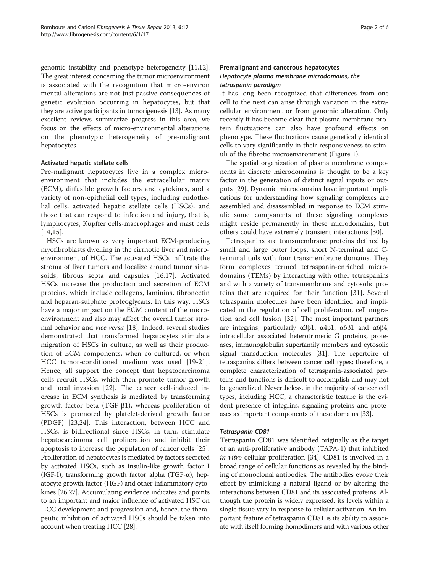genomic instability and phenotype heterogeneity [\[11,12](#page-4-0)]. The great interest concerning the tumor microenvironment is associated with the recognition that micro-environ mental alterations are not just passive consequences of genetic evolution occurring in hepatocytes, but that they are active participants in tumorigenesis [[13](#page-4-0)]. As many excellent reviews summarize progress in this area, we focus on the effects of micro-environmental alterations on the phenotypic heterogeneity of pre-malignant hepatocytes.

# Activated hepatic stellate cells

Pre-malignant hepatocytes live in a complex microenvironment that includes the extracellular matrix (ECM), diffusible growth factors and cytokines, and a variety of non-epithelial cell types, including endothelial cells, activated hepatic stellate cells (HSCs), and those that can respond to infection and injury, that is, lymphocytes, Kupffer cells-macrophages and mast cells [[14,15\]](#page-4-0).

HSCs are known as very important ECM-producing myofibroblasts dwelling in the cirrhotic liver and microenvironment of HCC. The activated HSCs infiltrate the stroma of liver tumors and localize around tumor sinusoids, fibrous septa and capsules [[16,17](#page-4-0)]. Activated HSCs increase the production and secretion of ECM proteins, which include collagens, laminins, fibronectin and heparan-sulphate proteoglycans. In this way, HSCs have a major impact on the ECM content of the microenvironment and also may affect the overall tumor stromal behavior and vice versa [\[18](#page-5-0)]. Indeed, several studies demonstrated that transformed hepatocytes stimulate migration of HSCs in culture, as well as their production of ECM components, when co-cultured, or when HCC tumor-conditioned medium was used [\[19](#page-5-0)-[21](#page-5-0)]. Hence, all support the concept that hepatocarcinoma cells recruit HSCs, which then promote tumor growth and local invasion [[22](#page-5-0)]. The cancer cell-induced increase in ECM synthesis is mediated by transforming growth factor beta (TGF-β1), whereas proliferation of HSCs is promoted by platelet-derived growth factor (PDGF) [[23,24\]](#page-5-0). This interaction, between HCC and HSCs, is bidirectional since HSCs, in turn, stimulate hepatocarcinoma cell proliferation and inhibit their apoptosis to increase the population of cancer cells [[25](#page-5-0)]. Proliferation of hepatocytes is mediated by factors secreted by activated HSCs, such as insulin-like growth factor I (IGF-I), transforming growth factor alpha (TGF- $\alpha$ ), hepatocyte growth factor (HGF) and other inflammatory cytokines [\[26,27\]](#page-5-0). Accumulating evidence indicates and points to an important and major influence of activated HSC on HCC development and progression and, hence, the therapeutic inhibition of activated HSCs should be taken into account when treating HCC [[28](#page-5-0)].

# Premalignant and cancerous hepatocytes Hepatocyte plasma membrane microdomains, the tetraspanin paradigm

It has long been recognized that differences from one cell to the next can arise through variation in the extracellular environment or from genomic alteration. Only recently it has become clear that plasma membrane protein fluctuations can also have profound effects on phenotype. These fluctuations cause genetically identical cells to vary significantly in their responsiveness to stimuli of the fibrotic microenvironment (Figure [1](#page-2-0)).

The spatial organization of plasma membrane components in discrete microdomains is thought to be a key factor in the generation of distinct signal inputs or outputs [[29](#page-5-0)]. Dynamic microdomains have important implications for understanding how signaling complexes are assembled and disassembled in response to ECM stimuli; some components of these signaling complexes might reside permanently in these microdomains, but others could have extremely transient interactions [\[30\]](#page-5-0).

Tetraspanins are transmembrane proteins defined by small and large outer loops, short N-terminal and Cterminal tails with four transmembrane domains. They form complexes termed tetraspanin-enriched microdomains (TEMs) by interacting with other tetraspanins and with a variety of transmembrane and cytosolic proteins that are required for their function [[31](#page-5-0)]. Several tetraspanin molecules have been identified and implicated in the regulation of cell proliferation, cell migration and cell fusion [\[32](#page-5-0)]. The most important partners are integrins, particularly  $\alpha$ 3β1,  $\alpha$ 4β1,  $\alpha$ 6β1 and  $\alpha$ 6β4, intracellular associated heterotrimeric G proteins, proteases, immunoglobulin superfamily members and cytosolic signal transduction molecules [[31](#page-5-0)]. The repertoire of tetraspanins differs between cancer cell types; therefore, a complete characterization of tetraspanin-associated proteins and functions is difficult to accomplish and may not be generalized. Nevertheless, in the majority of cancer cell types, including HCC, a characteristic feature is the evident presence of integrins, signaling proteins and proteases as important components of these domains [\[33\]](#page-5-0).

# Tetraspanin CD81

Tetraspanin CD81 was identified originally as the target of an anti-proliferative antibody (TAPA-1) that inhibited in vitro cellular proliferation [\[34](#page-5-0)]. CD81 is involved in a broad range of cellular functions as revealed by the binding of monoclonal antibodies. The antibodies evoke their effect by mimicking a natural ligand or by altering the interactions between CD81 and its associated proteins. Although the protein is widely expressed, its levels within a single tissue vary in response to cellular activation. An important feature of tetraspanin CD81 is its ability to associate with itself forming homodimers and with various other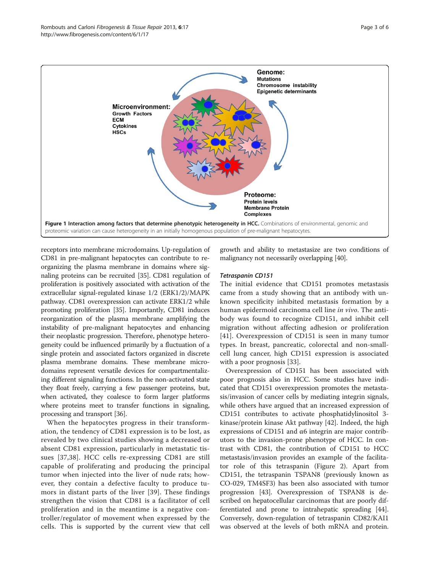<span id="page-2-0"></span>

receptors into membrane microdomains. Up-regulation of CD81 in pre-malignant hepatocytes can contribute to reorganizing the plasma membrane in domains where signaling proteins can be recruited [[35](#page-5-0)]. CD81 regulation of proliferation is positively associated with activation of the extracellular signal-regulated kinase 1/2 (ERK1/2)/MAPK pathway. CD81 overexpression can activate ERK1/2 while promoting proliferation [[35\]](#page-5-0). Importantly, CD81 induces reorganization of the plasma membrane amplifying the instability of pre-malignant hepatocytes and enhancing their neoplastic progression. Therefore, phenotype heterogeneity could be influenced primarily by a fluctuation of a single protein and associated factors organized in discrete plasma membrane domains. These membrane microdomains represent versatile devices for compartmentalizing different signaling functions. In the non-activated state they float freely, carrying a few passenger proteins, but, when activated, they coalesce to form larger platforms where proteins meet to transfer functions in signaling, processing and transport [\[36\]](#page-5-0).

When the hepatocytes progress in their transformation, the tendency of CD81 expression is to be lost, as revealed by two clinical studies showing a decreased or absent CD81 expression, particularly in metastatic tissues [[37](#page-5-0),[38\]](#page-5-0). HCC cells re-expressing CD81 are still capable of proliferating and producing the principal tumor when injected into the liver of nude rats; however, they contain a defective faculty to produce tumors in distant parts of the liver [[39\]](#page-5-0). These findings strengthen the vision that CD81 is a facilitator of cell proliferation and in the meantime is a negative controller/regulator of movement when expressed by the cells. This is supported by the current view that cell growth and ability to metastasize are two conditions of malignancy not necessarily overlapping [[40](#page-5-0)].

# Tetraspanin CD151

The initial evidence that CD151 promotes metastasis came from a study showing that an antibody with unknown specificity inhibited metastasis formation by a human epidermoid carcinoma cell line in vivo. The antibody was found to recognize CD151, and inhibit cell migration without affecting adhesion or proliferation [[41\]](#page-5-0). Overexpression of CD151 is seen in many tumor types. In breast, pancreatic, colorectal and non-smallcell lung cancer, high CD151 expression is associated with a poor prognosis [[33](#page-5-0)].

Overexpression of CD151 has been associated with poor prognosis also in HCC. Some studies have indicated that CD151 overexpression promotes the metastasis/invasion of cancer cells by mediating integrin signals, while others have argued that an increased expression of CD151 contributes to activate phosphatidylinositol 3 kinase/protein kinase Akt pathway [\[42](#page-5-0)]. Indeed, the high expressions of CD151 and α6 integrin are major contributors to the invasion-prone phenotype of HCC. In contrast with CD81, the contribution of CD151 to HCC metastasis/invasion provides an example of the facilitator role of this tetraspanin (Figure [2](#page-3-0)). Apart from CD151, the tetraspanin TSPAN8 (previously known as CO-029, TM4SF3) has been also associated with tumor progression [\[43\]](#page-5-0). Overexpression of TSPAN8 is described on hepatocellular carcinomas that are poorly differentiated and prone to intrahepatic spreading [\[44](#page-5-0)]. Conversely, down-regulation of tetraspanin CD82/KAI1 was observed at the levels of both mRNA and protein.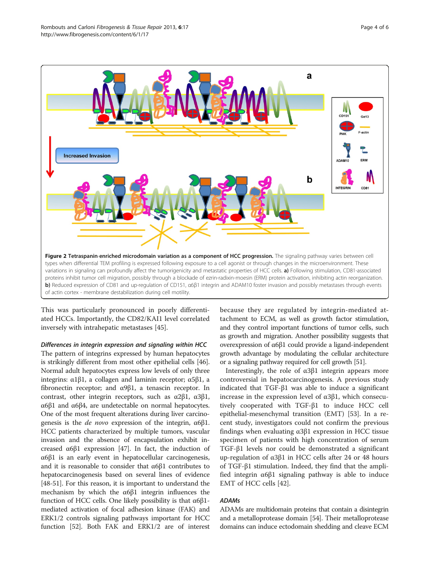<span id="page-3-0"></span>

This was particularly pronounced in poorly differentiated HCCs. Importantly, the CD82/KAI1 level correlated inversely with intrahepatic metastases [[45](#page-5-0)].

Differences in integrin expression and signaling within HCC

The pattern of integrins expressed by human hepatocytes is strikingly different from most other epithelial cells [[46](#page-5-0)]. Normal adult hepatocytes express low levels of only three integrins:  $\alpha$ 1β1, a collagen and laminin receptor;  $\alpha$ 5β1, a fibronectin receptor; and α9β1, a tenascin receptor. In contrast, other integrin receptors, such as α2β1, α3β1, α6β1 and α6β4, are undetectable on normal hepatocytes. One of the most frequent alterations during liver carcinogenesis is the *de novo* expression of the integrin,  $\alpha$ 6β1. HCC patients characterized by multiple tumors, vascular invasion and the absence of encapsulation exhibit increased α6β1 expression [[47](#page-5-0)]. In fact, the induction of α6β1 is an early event in hepatocellular carcinogenesis, and it is reasonable to consider that α6β1 contributes to hepatocarcinogenesis based on several lines of evidence [[48](#page-5-0)-[51](#page-5-0)]. For this reason, it is important to understand the mechanism by which the α6β1 integrin influences the function of HCC cells. One likely possibility is that α6β1 mediated activation of focal adhesion kinase (FAK) and ERK1/2 controls signaling pathways important for HCC function [\[52](#page-5-0)]. Both FAK and ERK1/2 are of interest

because they are regulated by integrin-mediated attachment to ECM, as well as growth factor stimulation, and they control important functions of tumor cells, such as growth and migration. Another possibility suggests that overexpression of α6β1 could provide a ligand-independent growth advantage by modulating the cellular architecture or a signaling pathway required for cell growth [\[51\]](#page-5-0).

Interestingly, the role of α3β1 integrin appears more controversial in hepatocarcinogenesis. A previous study indicated that TGF-β1 was able to induce a significant increase in the expression level of α3β1, which consecutively cooperated with TGF-β1 to induce HCC cell epithelial-mesenchymal transition (EMT) [[53\]](#page-5-0). In a recent study, investigators could not confirm the previous findings when evaluating α3β1 expression in HCC tissue specimen of patients with high concentration of serum TGF-β1 levels nor could be demonstrated a significant up-regulation of α3β1 in HCC cells after 24 or 48 hours of TGF-β1 stimulation. Indeed, they find that the amplified integrin α6β1 signaling pathway is able to induce EMT of HCC cells [[42](#page-5-0)].

# ADAMs

ADAMs are multidomain proteins that contain a disintegrin and a metalloprotease domain [[54](#page-5-0)]. Their metalloprotease domains can induce ectodomain shedding and cleave ECM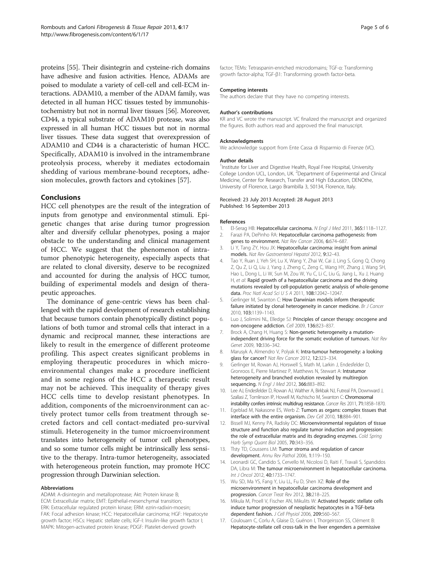<span id="page-4-0"></span>proteins [[55](#page-5-0)]. Their disintegrin and cysteine-rich domains have adhesive and fusion activities. Hence, ADAMs are poised to modulate a variety of cell-cell and cell-ECM interactions. ADAM10, a member of the ADAM family, was detected in all human HCC tissues tested by immunohistochemistry but not in normal liver tissues [\[56](#page-5-0)]. Moreover, CD44, a typical substrate of ADAM10 protease, was also expressed in all human HCC tissues but not in normal liver tissues. These data suggest that overexpression of ADAM10 and CD44 is a characteristic of human HCC. Specifically, ADAM10 is involved in the intramembrane proteolysis process, whereby it mediates ectodomain shedding of various membrane-bound receptors, adhesion molecules, growth factors and cytokines [\[57](#page-5-0)].

# **Conclusions**

HCC cell phenotypes are the result of the integration of inputs from genotype and environmental stimuli. Epigenetic changes that arise during tumor progression alter and diversify cellular phenotypes, posing a major obstacle to the understanding and clinical management of HCC. We suggest that the phenomenon of intratumor phenotypic heterogeneity, especially aspects that are related to clonal diversity, deserve to be recognized and accounted for during the analysis of HCC tumor, building of experimental models and design of therapeutic approaches.

The dominance of gene-centric views has been challenged with the rapid development of research establishing that because tumors contain phenotypically distinct populations of both tumor and stromal cells that interact in a dynamic and reciprocal manner, these interactions are likely to result in the emergence of different proteome profiling. This aspect creates significant problems in employing therapeutic procedures in which microenvironmental changes make a procedure inefficient and in some regions of the HCC a therapeutic result may not be achieved. This inequality of therapy gives HCC cells time to develop resistant phenotypes. In addition, components of the microenvironment can actively protect tumor cells from treatment through secreted factors and cell contact-mediated pro-survival stimuli. Heterogeneity in the tumor microenvironment translates into heterogeneity of tumor cell phenotypes, and so some tumor cells might be intrinsically less sensitive to the therapy. Intra-tumor heterogeneity, associated with heterogeneous protein function, may promote HCC progression through Darwinian selection.

# Abbreviations

ADAM: A-disintegrin and metalloprotease; Akt: Protein kinase B; ECM: Extracellular matrix; EMT: Epithelial-mesenchymal transition; ERK: Extracellular regulated protein kinase; ERM: ezrin-radixin-moesin; FAK: Focal adhesion kinase; HCC: Hepatocellular carcinoma; HGF: Hepatocyte growth factor; HSCs: Hepatic stellate cells; IGF-I: Insulin-like growth factor I; MAPK: Mitogen-activated protein kinase; PDGF: Platelet-derived growth

factor; TEMs: Tetraspanin-enriched microdomains; TGF-α: Transforming growth factor-alpha; TGF-β1: Transforming growth factor-beta.

## Competing interests

The authors declare that they have no competing interests.

## Author's contributions

KR and VC wrote the manuscript. VC finalized the manuscript and organized the figures. Both authors read and approved the final manuscript.

# Acknowledgments

We acknowledge support from Ente Cassa di Risparmio di Firenze (VC).

### Author details

<sup>1</sup>Institute for Liver and Digestive Health, Royal Free Hospital, University College London UCL, London, UK. <sup>2</sup> Department of Experimental and Clinical Medicine, Center for Research, Transfer and High Education, DENOthe, University of Florence, Largo Brambilla 3, 50134, Florence, Italy.

#### Received: 23 July 2013 Accepted: 28 August 2013 Published: 16 September 2013

### References

- El-Serag HB: Hepatocellular carcinoma. N Engl J Med 2011, 365:1118-1127.
- 2. Farazi PA, DePinho RA: Hepatocellular carcinoma pathogenesis: from genes to environment. Nat Rev Cancer 2006, 6:674–687.
- 3. Li Y, Tang ZY, Hou JX: Hepatocellular carcinoma: insight from animal models. Nat Rev Gastroenterol Hepatol 2012, 9:32–43.
- 4. Tao Y, Ruan J, Yeh SH, Lu X, Wang Y, Zhai W, Cai J, Ling S, Gong Q, Chong Z, Qu Z, Li Q, Liu J, Yang J, Zheng C, Zeng C, Wang HY, Zhang J, Wang SH, Hao L, Dong L, Li W, Sun M, Zou W, Yu C, Li C, Liu G, Jiang L, Xu J, Huang H, et al: Rapid growth of a hepatocellular carcinoma and the driving mutations revealed by cell-population genetic analysis of whole-genome data. Proc Natl Acad Sci U S A 2011, 108:12042–12047.
- 5. Gerlinger M, Swanton C: How Darwinian models inform therapeutic failure initiated by clonal heterogeneity in cancer medicine. Br J Cancer 2010, 103:1139–1143.
- 6. Luo J, Solimini NL, Elledge SJ: Principles of cancer therapy: oncogene and non-oncogene addiction. Cell 2009, 136:823–837.
- Brock A, Chang H, Huang S: Non-genetic heterogeneity a mutationindependent driving force for the somatic evolution of tumours. Nat Rev Genet 2009, 10:336–342.
- 8. Marusyk A, Almendro V, Polyak K: Intra-tumour heterogeneity: a looking glass for cancer? Nat Rev Cancer 2012, 12:323–334.
- 9. Gerlinger M, Rowan AJ, Horswell S, Math M, Larkin J, Endesfelder D, Gronroos E, Pierre Martinez P, Matthews N, Stewart A: Intratumor heterogeneity and branched evolution revealed by multiregion sequencing. N Engl J Med 2012, 366:883-892.
- 10. Lee AJ, Endesfelder D, Rowan AJ, Walther A, Birkbak NJ, Futreal PA, Downward J, Szallasi Z, Tomlinson IP, Howell M, Kschischo M, Swanton C: Chromosomal
- instability confers intrinsic multidrug resistance. Cancer Res 2011, 71:1858–1870. 11. Egeblad M, Nakasone ES, Werb Z: Tumors as organs: complex tissues that interface with the entire organism. Dev Cell 2010, 18:884–901.
- 12. Bissell MJ, Kenny PA, Radisky DC: Microenvironmental regulators of tissue structure and function also regulate tumor induction and progression: the role of extracellular matrix and its degrading enzymes. Cold Spring Harb Symp Quant Biol 2005, 70:343–356.
- 13. Tlsty TD, Coussens LM: Tumor stroma and regulation of cancer development. Annu Rev Pathol 2006, 1:119–150.
- 14. Leonardi GC, Candido S, Cervello M, Nicolosi D, Raiti F, Travali S, Spandidos DA, Libra M: The tumour microenvironment in hepatocellular carcinoma. Int J Oncol 2012, 40:1733–1747.
- 15. Wu SD, Ma YS, Fang Y, Liu LL, Fu D, Shen XZ: Role of the microenvironment in hepatocellular carcinoma development and progression. Cancer Treat Rev 2012, 38:218–225.
- 16. Mikula M, Proell V, Fischer AN, Mikulits W: Activated hepatic stellate cells induce tumor progression of neoplastic hepatocytes in a TGF-beta dependent fashion. J Cell Physiol 2006, 209:560–567.
- 17. Coulouarn C, Corlu A, Glaise D, Guénon I, Thorgeirsson SS, Clément B: Hepatocyte-stellate cell cross-talk in the liver engenders a permissive